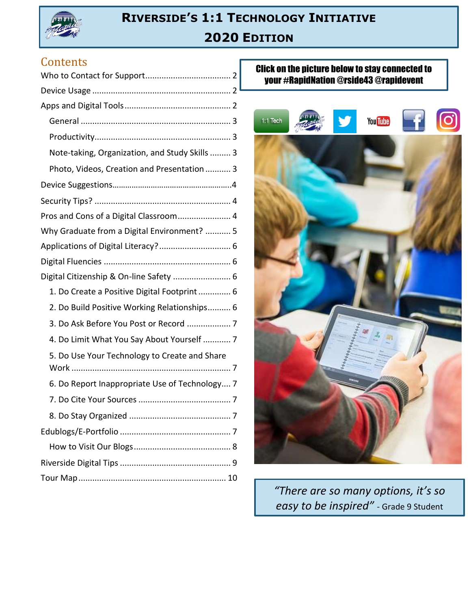

## **RIVERSIDE'S 1:1 TECHNOLOGY INITIATIVE 2020 EDITION**

### **Contents**

| Note-taking, Organization, and Study Skills  3 |  |
|------------------------------------------------|--|
| Photo, Videos, Creation and Presentation  3    |  |
|                                                |  |
|                                                |  |
| Pros and Cons of a Digital Classroom 4         |  |
| Why Graduate from a Digital Environment?  5    |  |
|                                                |  |
|                                                |  |
| Digital Citizenship & On-line Safety  6        |  |
| 1. Do Create a Positive Digital Footprint  6   |  |
| 2. Do Build Positive Working Relationships 6   |  |
| 3. Do Ask Before You Post or Record  7         |  |
| 4. Do Limit What You Say About Yourself  7     |  |
| 5. Do Use Your Technology to Create and Share  |  |
| 6. Do Report Inappropriate Use of Technology 7 |  |
|                                                |  |
|                                                |  |
|                                                |  |
|                                                |  |
|                                                |  |
|                                                |  |

### Click on the picture below to stay connected to your #RapidNation @rside43 @rapidevent



*"There are so many options, it's so easy to be inspired"* - Grade 9 Student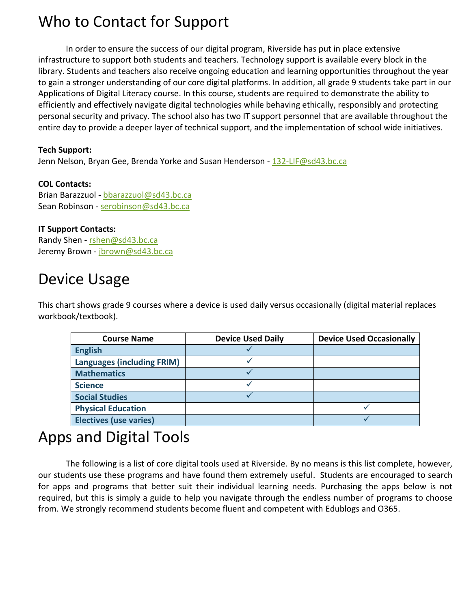## <span id="page-1-0"></span>Who to Contact for Support

In order to ensure the success of our digital program, Riverside has put in place extensive infrastructure to support both students and teachers. Technology support is available every block in the library. Students and teachers also receive ongoing education and learning opportunities throughout the year to gain a stronger understanding of our core digital platforms. In addition, all grade 9 students take part in our Applications of Digital Literacy course. In this course, students are required to demonstrate the ability to efficiently and effectively navigate digital technologies while behaving ethically, responsibly and protecting personal security and privacy. The school also has two IT support personnel that are available throughout the entire day to provide a deeper layer of technical support, and the implementation of school wide initiatives.

#### **Tech Support:**

Jenn Nelson, Bryan Gee, Brenda Yorke and Susan Henderson - [132-LIF@sd43.bc.ca](mailto:132-LIF@sd43.bc.ca)

#### **COL Contacts:**

Brian Barazzuol - [bbarazzuol@sd43.bc.ca](mailto:bbarazzuol@sd43.bc.ca) Sean Robinson - serobinson@sd43.bc.ca

### **IT Support Contacts:**

Randy Shen - [rshen@sd43.bc.ca](mailto:rshen@sd43.bc.ca) Jeremy Brown - [jbrown@sd43.bc.ca](mailto:jbrown@sd43.bc.ca)

## <span id="page-1-1"></span>Device Usage

<span id="page-1-2"></span>This chart shows grade 9 courses where a device is used daily versus occasionally (digital material replaces workbook/textbook).

| <b>Course Name</b>                | <b>Device Used Daily</b> | <b>Device Used Occasionally</b> |
|-----------------------------------|--------------------------|---------------------------------|
| <b>English</b>                    |                          |                                 |
| <b>Languages (including FRIM)</b> |                          |                                 |
| <b>Mathematics</b>                |                          |                                 |
| <b>Science</b>                    |                          |                                 |
| <b>Social Studies</b>             |                          |                                 |
| <b>Physical Education</b>         |                          |                                 |
| <b>Electives (use varies)</b>     |                          |                                 |

## Apps and Digital Tools

The following is a list of core digital tools used at Riverside. By no means is this list complete, however, our students use these programs and have found them extremely useful. Students are encouraged to search for apps and programs that better suit their individual learning needs. Purchasing the apps below is not required, but this is simply a guide to help you navigate through the endless number of programs to choose from. We strongly recommend students become fluent and competent with Edublogs and O365.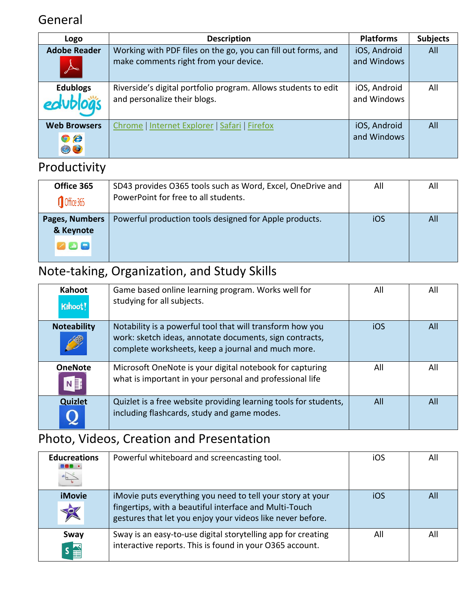### <span id="page-2-0"></span>General

| Logo                                        | <b>Description</b>                                                                                     | <b>Platforms</b>            | <b>Subjects</b> |
|---------------------------------------------|--------------------------------------------------------------------------------------------------------|-----------------------------|-----------------|
| <b>Adobe Reader</b>                         | Working with PDF files on the go, you can fill out forms, and<br>make comments right from your device. | iOS, Android<br>and Windows | All             |
| <b>Edublogs</b><br>edublogs                 | Riverside's digital portfolio program. Allows students to edit<br>and personalize their blogs.         | iOS, Android<br>and Windows | All             |
| <b>Web Browsers</b><br>$\circ e$<br>$\odot$ | Chrome   Internet Explorer   Safari   Firefox                                                          | iOS, Android<br>and Windows | All             |

## <span id="page-2-1"></span>Productivity

| Office 365<br>Office 365                          | SD43 provides O365 tools such as Word, Excel, OneDrive and<br>PowerPoint for free to all students. | All | All |
|---------------------------------------------------|----------------------------------------------------------------------------------------------------|-----|-----|
| Pages, Numbers<br>& Keynote<br>$\angle$ at $\Box$ | Powerful production tools designed for Apple products.                                             | iOS | All |

## <span id="page-2-2"></span>Note-taking, Organization, and Study Skills

| Kahoot<br>Kahoot!                | Game based online learning program. Works well for<br>studying for all subjects.                                                                                           | All | All |
|----------------------------------|----------------------------------------------------------------------------------------------------------------------------------------------------------------------------|-----|-----|
| <b>Noteability</b>               | Notability is a powerful tool that will transform how you<br>work: sketch ideas, annotate documents, sign contracts,<br>complete worksheets, keep a journal and much more. | iOS | All |
| <b>OneNote</b><br>N <sup>E</sup> | Microsoft OneNote is your digital notebook for capturing<br>what is important in your personal and professional life                                                       | All | All |
| <b>Quizlet</b>                   | Quizlet is a free website providing learning tools for students,<br>including flashcards, study and game modes.                                                            | All | All |

## <span id="page-2-3"></span>Photo, Videos, Creation and Presentation

| <b>Educreations</b><br>. . | Powerful whiteboard and screencasting tool.                                                                                                                                        | iOS | All |
|----------------------------|------------------------------------------------------------------------------------------------------------------------------------------------------------------------------------|-----|-----|
| <b>iMovie</b>              | iMovie puts everything you need to tell your story at your<br>fingertips, with a beautiful interface and Multi-Touch<br>gestures that let you enjoy your videos like never before. | iOS | All |
| Sway<br>$s \equiv$         | Sway is an easy-to-use digital storytelling app for creating<br>interactive reports. This is found in your O365 account.                                                           | All | All |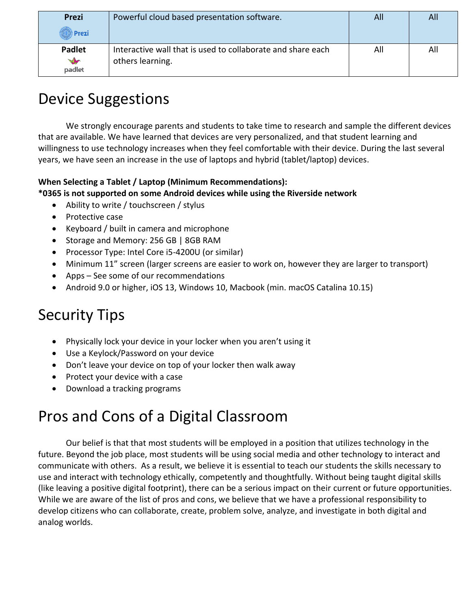| <b>Prezi</b><br>$\mathbb{D}$ Prezi         | Powerful cloud based presentation software.                                     | All | All |
|--------------------------------------------|---------------------------------------------------------------------------------|-----|-----|
| <b>Padlet</b><br>$\blacklozenge$<br>padlet | Interactive wall that is used to collaborate and share each<br>others learning. | All | All |

# Device Suggestions

We strongly encourage parents and students to take time to research and sample the different devices that are available. We have learned that devices are very personalized, and that student learning and willingness to use technology increases when they feel comfortable with their device. During the last several years, we have seen an increase in the use of laptops and hybrid (tablet/laptop) devices.

### **When Selecting a Tablet / Laptop (Minimum Recommendations):**

**\*0365 is not supported on some Android devices while using the Riverside network**

- Ability to write / touchscreen / stylus
- Protective case
- Keyboard / built in camera and microphone
- Storage and Memory: 256 GB | 8GB RAM
- Processor Type: Intel Core i5-4200U (or similar)
- Minimum 11" screen (larger screens are easier to work on, however they are larger to transport)
- Apps See some of our recommendations
- Android 9.0 or higher, iOS 13, Windows 10, Macbook (min. macOS Catalina 10.15)

# Security Tips

- Physically lock your device in your locker when you aren't using it
- Use a Keylock/Password on your device
- Don't leave your device on top of your locker then walk away
- Protect your device with a case
- Download a tracking programs

# Pros and Cons of a Digital Classroom

Our belief is that that most students will be employed in a position that utilizes technology in the future. Beyond the job place, most students will be using social media and other technology to interact and communicate with others. As a result, we believe it is essential to teach our students the skills necessary to use and interact with technology ethically, competently and thoughtfully. Without being taught digital skills (like leaving a positive digital footprint), there can be a serious impact on their current or future opportunities. While we are aware of the list of pros and cons, we believe that we have a professional responsibility to develop citizens who can collaborate, create, problem solve, analyze, and investigate in both digital and analog worlds.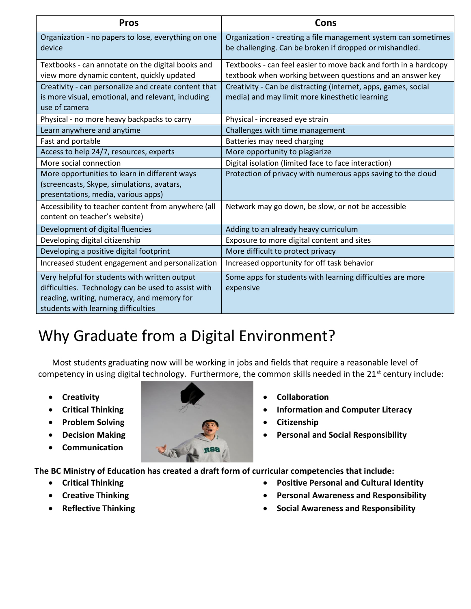| <b>Pros</b>                                                                                                                                                                               | Cons                                                                                                                          |
|-------------------------------------------------------------------------------------------------------------------------------------------------------------------------------------------|-------------------------------------------------------------------------------------------------------------------------------|
| Organization - no papers to lose, everything on one<br>device                                                                                                                             | Organization - creating a file management system can sometimes<br>be challenging. Can be broken if dropped or mishandled.     |
| Textbooks - can annotate on the digital books and<br>view more dynamic content, quickly updated                                                                                           | Textbooks - can feel easier to move back and forth in a hardcopy<br>textbook when working between questions and an answer key |
| Creativity - can personalize and create content that<br>is more visual, emotional, and relevant, including<br>use of camera                                                               | Creativity - Can be distracting (internet, apps, games, social<br>media) and may limit more kinesthetic learning              |
| Physical - no more heavy backpacks to carry                                                                                                                                               | Physical - increased eye strain                                                                                               |
| Learn anywhere and anytime                                                                                                                                                                | Challenges with time management                                                                                               |
| Fast and portable                                                                                                                                                                         | Batteries may need charging                                                                                                   |
| Access to help 24/7, resources, experts                                                                                                                                                   | More opportunity to plagiarize                                                                                                |
| More social connection                                                                                                                                                                    | Digital isolation (limited face to face interaction)                                                                          |
| More opportunities to learn in different ways<br>(screencasts, Skype, simulations, avatars,<br>presentations, media, various apps)                                                        | Protection of privacy with numerous apps saving to the cloud                                                                  |
| Accessibility to teacher content from anywhere (all<br>content on teacher's website)                                                                                                      | Network may go down, be slow, or not be accessible                                                                            |
| Development of digital fluencies                                                                                                                                                          | Adding to an already heavy curriculum                                                                                         |
| Developing digital citizenship                                                                                                                                                            | Exposure to more digital content and sites                                                                                    |
| Developing a positive digital footprint                                                                                                                                                   | More difficult to protect privacy                                                                                             |
| Increased student engagement and personalization                                                                                                                                          | Increased opportunity for off task behavior                                                                                   |
| Very helpful for students with written output<br>difficulties. Technology can be used to assist with<br>reading, writing, numeracy, and memory for<br>students with learning difficulties | Some apps for students with learning difficulties are more<br>expensive                                                       |

# Why Graduate from a Digital Environment?

Most students graduating now will be working in jobs and fields that require a reasonable level of competency in using digital technology. Furthermore, the common skills needed in the 21<sup>st</sup> century include:

- **Creativity**
- **Critical Thinking**
- **Problem Solving**
- **Decision Making**
- **Communication**



- **Collaboration**
- **Information and Computer Literacy**
- **Citizenship**
- **Personal and Social Responsibility**

**The BC Ministry of Education has created a draft form of curricular competencies that include:**

- **Critical Thinking**
- **Creative Thinking**
- **Reflective Thinking**
- **Positive Personal and Cultural Identity**
- **Personal Awareness and Responsibility**
- **Social Awareness and Responsibility**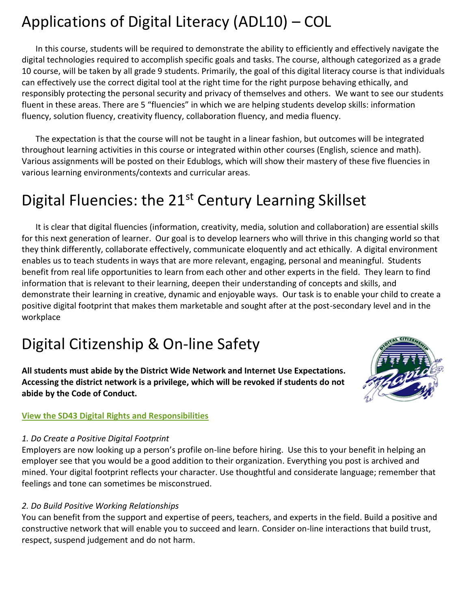# Applications of Digital Literacy (ADL10) – COL

In this course, students will be required to demonstrate the ability to efficiently and effectively navigate the digital technologies required to accomplish specific goals and tasks. The course, although categorized as a grade 10 course, will be taken by all grade 9 students. Primarily, the goal of this digital literacy course is that individuals can effectively use the correct digital tool at the right time for the right purpose behaving ethically, and responsibly protecting the personal security and privacy of themselves and others. We want to see our students fluent in these areas. There are 5 "fluencies" in which we are helping students develop skills: information fluency, solution fluency, creativity fluency, collaboration fluency, and media fluency.

The expectation is that the course will not be taught in a linear fashion, but outcomes will be integrated throughout learning activities in this course or integrated within other courses (English, science and math). Various assignments will be posted on their Edublogs, which will show their mastery of these five fluencies in various learning environments/contexts and curricular areas.

## Digital Fluencies: the 21<sup>st</sup> Century Learning Skillset

It is clear that digital fluencies (information, creativity, media, solution and collaboration) are essential skills for this next generation of learner. Our goal is to develop learners who will thrive in this changing world so that they think differently, collaborate effectively, communicate eloquently and act ethically. A digital environment enables us to teach students in ways that are more relevant, engaging, personal and meaningful. Students benefit from real life opportunities to learn from each other and other experts in the field. They learn to find information that is relevant to their learning, deepen their understanding of concepts and skills, and demonstrate their learning in creative, dynamic and enjoyable ways. Our task is to enable your child to create a positive digital footprint that makes them marketable and sought after at the post-secondary level and in the workplace

## Digital Citizenship & On-line Safety

**All students must abide by the District Wide Network and Internet Use Expectations. Accessing the district network is a privilege, which will be revoked if students do not abide by the Code of Conduct.**



### *1. Do Create a Positive Digital Footprint*

Employers are now looking up a person's profile on-line before hiring. Use this to your benefit in helping an employer see that you would be a good addition to their organization. Everything you post is archived and mined. Your digital footprint reflects your character. Use thoughtful and considerate language; remember that feelings and tone can sometimes be misconstrued.

### *2. Do Build Positive Working Relationships*

You can benefit from the support and expertise of peers, teachers, and experts in the field. Build a positive and constructive network that will enable you to succeed and learn. Consider on-line interactions that build trust, respect, suspend judgement and do not harm.

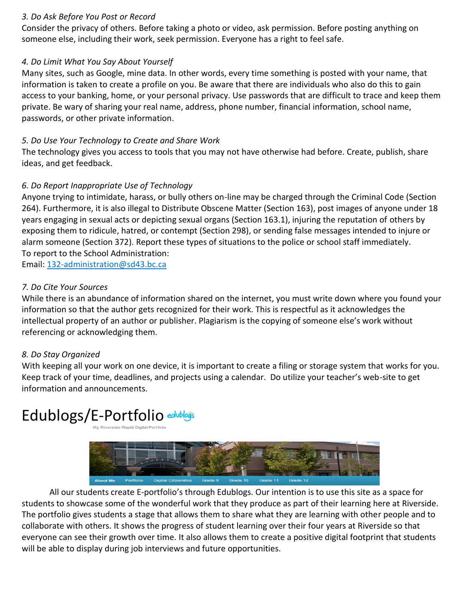#### *3. Do Ask Before You Post or Record*

Consider the privacy of others. Before taking a photo or video, ask permission. Before posting anything on someone else, including their work, seek permission. Everyone has a right to feel safe.

### *4. Do Limit What You Say About Yourself*

Many sites, such as Google, mine data. In other words, every time something is posted with your name, that information is taken to create a profile on you. Be aware that there are individuals who also do this to gain access to your banking, home, or your personal privacy. Use passwords that are difficult to trace and keep them private. Be wary of sharing your real name, address, phone number, financial information, school name, passwords, or other private information.

### *5. Do Use Your Technology to Create and Share Work*

The technology gives you access to tools that you may not have otherwise had before. Create, publish, share ideas, and get feedback.

### *6. Do Report Inappropriate Use of Technology*

Anyone trying to intimidate, harass, or bully others on-line may be charged through the Criminal Code (Section 264). Furthermore, it is also illegal to Distribute Obscene Matter (Section 163), post images of anyone under 18 years engaging in sexual acts or depicting sexual organs (Section 163.1), injuring the reputation of others by exposing them to ridicule, hatred, or contempt (Section 298), or sending false messages intended to injure or alarm someone (Section 372). Report these types of situations to the police or school staff immediately. To report to the School Administration:

Email: [132-administration@sd43.bc.ca](mailto:132-administration@sd43.bc.ca)

### *7. Do Cite Your Sources*

While there is an abundance of information shared on the internet, you must write down where you found your information so that the author gets recognized for their work. This is respectful as it acknowledges the intellectual property of an author or publisher. Plagiarism is the copying of someone else's work without referencing or acknowledging them.

### *8. Do Stay Organized*

With keeping all your work on one device, it is important to create a filing or storage system that works for you. Keep track of your time, deadlines, and projects using a calendar. Do utilize your teacher's web-site to get information and announcements.

### Edublogs/E-Portfolio



All our students create E-portfolio's through Edublogs. Our intention is to use this site as a space for students to showcase some of the wonderful work that they produce as part of their learning here at Riverside. The portfolio gives students a stage that allows them to share what they are learning with other people and to collaborate with others. It shows the progress of student learning over their four years at Riverside so that everyone can see their growth over time. It also allows them to create a positive digital footprint that students will be able to display during job interviews and future opportunities.